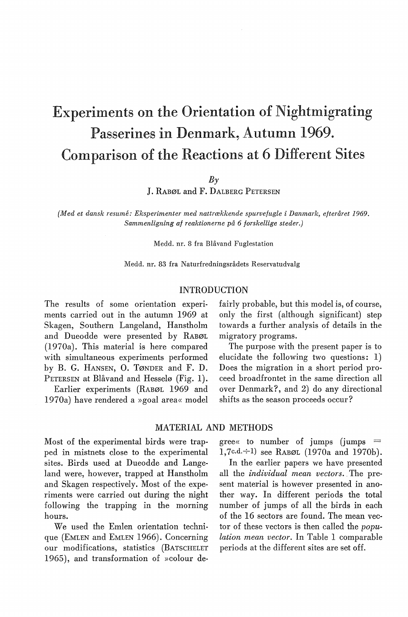# Experiments on the Orientation of Nightmigrating Passerines in Denmark, Autumn 1969. Comparison of the Reactions at 6 Different Sites

 $B<sub>\gamma</sub>$ 

J. RABØL and F. DALBERG PETERSEN

*{Med et dansk resume: Eksperimenter med nattrækkende spurvefugle i Danmark, efteråret 1969. Sammenligning af reaktionerne på 6 forskellige steder.)* 

Medd. nr. 8 fra Blåvand Fuglestation

Medd. nr. 83 fra Naturfredningsrådets Reservatudvalg

### INTRODUCTION

The results of some orientation experiments carried out in the autumn 1969 at Skagen, Southern Langeland, Hanstholm and Dueodde were presented by RABØL (1970a). This material is here compared with simultaneous experiments performed by B. G. HANSEN, 0. TØNDER and F. D. PETERSEN at Blåvand and Hesselø (Fig. 1).

Earlier experiments (RABØL 1969 and 1970a) have rendered a »goal area« model fairly probable, but this model is, of course, only the first (although significant) step towards a further analysis of details in the migratory programs.

The purpose with the present paper is to elucidate the following two questions: 1) Does the migration in a short period proceed broadfrontet in the same direction all over Denmark?, and 2) do any directional shifts as the season proceeds occur?

# MATERIAL AND METHODS

Most of the experimental hirds were trapped in mistnets close to the experimental sites. Birds used at Dueodde and Langeland were, however, trapped at Hanstholm and Skagen respectively. Most of the experiments were carried out during the night following the trapping in the morning hours.

We used the Emlen orientation technique (EMLEN and EMLEN 1966). Concerning our modifications, statistics (BATSCHELET 1965), and transformation of »colour de $\beta$  gree« to number of jumps (jumps  $=$ 1,7c.d. $\div$ 1) see RABØL (1970a and 1970b).

In the earlier papers we have presented all the *individual mean vectors ..* The present material is however presented in another way. In different periods the total number of jumps of all the hirds in each of the 16 sectors are found. The mean vector of these vectors is then called the *population mean vector.* In Table 1 comparable periods at the different sites are set off.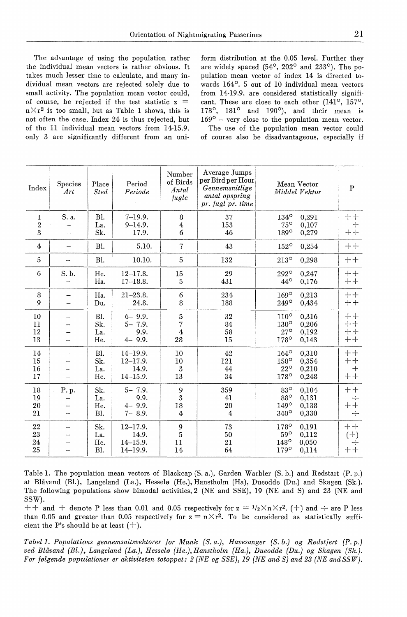The advantage of using the population rather the individual mean vectors is rather obvious. It takes much lesser time to calculate, and many individual mean vectors are rejected solely due to small activity. The population mean vector could, of course, be rejected if the test statistic  $z =$  $n \times r^2$  is too small, but as Table 1 shows, this is not often the case. Index 24 is thus rejected, but of the 11 individual mean vectors from 14-15.9. only 3 are significantly different from an uniform distribution at the 0.05 level. Further they are widely spaced (54°, 202° and 233°). The population mean vector of index 14 is directed towards 164°. 5 out of 10 individual mean vectors from 14-19.9. are considered statistically significant. These are close to each other (141°, 157°, 173°, 181° and 190°), and their mean is 169° - very close to the population mean vector. The use of the population mean vector could of course also be disadvantageous, especially if

| Index          | Species<br>Art           | Place<br><b>Sted</b> | Period<br>Periode | Number<br>of Birds<br>Antal<br>fugle | Average Jumps<br>per Bird per Hour<br>Gennemsnitlige<br>antal opspring<br>pr. fugl pr. time | Mean Vector<br>Middel Vektor | $\mathbf{P}$ |
|----------------|--------------------------|----------------------|-------------------|--------------------------------------|---------------------------------------------------------------------------------------------|------------------------------|--------------|
| 1              | S. a.                    | Bl.                  | $7 - 19.9.$       | 8                                    | 37                                                                                          | $134^{\rm o}$<br>0,291       | $++$         |
| $\overline{2}$ |                          | La.                  | $9 - 14.9.$       | 4                                    | 153                                                                                         | $75^\circ$<br>0,107          | $^{+}$       |
| 3              |                          | Sk.                  | 17.9.             | 6                                    | 46                                                                                          | $189^\circ$<br>0,279         | $+ +$        |
| $\overline{4}$ | $\overline{\phantom{a}}$ | Bl.                  | 5.10.             | $\overline{7}$                       | 43                                                                                          | $152^\circ$<br>0,254         | $++$         |
| 5              |                          | BI.                  | 10.10.            | 5                                    | 132                                                                                         | $213^\circ$<br>0,298         | $++$         |
| 6              | S.b.                     | He.                  | $12 - 17.8.$      | 15                                   | 29                                                                                          | $292^\circ$<br>0.247         | $++$         |
|                |                          | Ha.                  | $17 - 18.8.$      | 5                                    | 431                                                                                         | $44^\circ$<br>0,176          | $++$         |
| 8              |                          | Ha.                  | $21 - 23.8.$      | 6                                    | 234                                                                                         | $169^\circ$<br>0,213         | $++$         |
| $\mathbf Q$    |                          | Du.                  | 24.8.             | 8                                    | 188                                                                                         | $249^\circ$<br>0,434         | $++$         |
| 10             | --                       | <b>Bl.</b>           | $6 - 9.9.$        | 5                                    | 32                                                                                          | 0,316<br>$110^\circ$         | $++$         |
| 11             |                          | Sk.                  | $5 - 7.9.$        | 7                                    | 84                                                                                          | $130^\circ$<br>0,206         | $++$         |
| 12             |                          | La.                  | 9.9.              | $\overline{4}$                       | 58                                                                                          | $27^\circ$<br>0,192          | $++$         |
| 13             |                          | He.                  | $4 - 9.9.$        | 28                                   | 15                                                                                          | $178^\circ$<br>0,143         | $++$         |
| 14             |                          | Bl.                  | $14 - 19.9.$      | 10                                   | 42                                                                                          | $164^\circ$<br>0,310         | $++$         |
| 15             |                          | Sk.                  | $12 - 17.9.$      | 10                                   | 121                                                                                         | 158°<br>0,354                | $++$         |
| 16             |                          | La.                  | 14.9.             | 3                                    | 44                                                                                          | $22^{\circ}$<br>0,210        | $^{+}$       |
| 17             |                          | He.                  | $14 - 15.9.$      | 13                                   | 34                                                                                          | 178°<br>0,248                | $++$         |
| 18             | P. p.                    | Sk.                  | $5 - 7.9$ .       | 9                                    | 359                                                                                         | $83^\circ$<br>0.104          | $++$         |
| 19             |                          | La.                  | 9.9.              | 3                                    | 41                                                                                          | $88^\circ$<br>0,131          | ÷            |
| 20             |                          | He.                  | $4 - 9.9.$        | 18                                   | 20                                                                                          | 149°<br>0.138                | $+$<br>┿     |
| 21             |                          | Bl.                  | $7 - 8.9.$        | $\overline{4}$                       | 4                                                                                           | 340°<br>0,330                | $\div$       |
| 22             |                          | Sk.                  | $12 - 17.9.$      | 9                                    | 73                                                                                          | $178^\circ$<br>0,191         | $++$         |
| 23             |                          | La.                  | 14.9.             | 5                                    | 50                                                                                          | $59^\circ$<br>0,112          | $(+)$        |
| 24             |                          | He.                  | $14 - 15.9.$      | 11                                   | 21                                                                                          | 0,050<br>$148^\circ$         |              |
| 25             |                          | Bl.                  | $14 - 19.9.$      | 14                                   | 64                                                                                          | 179°<br>0,114                | $+ +$        |

Table 1. The population mean vectors of Blackcap (S. a.), Garden Warbler (S. b.) and Redstart (P.p.) at Blåvand (Bl.), Langeland (La.), Hesselø (He.), Hanstholm (Ha), Dueodde (Du.) and Skagen (Sk.). The following populations show bimodal activities, 2 (NE and SSE), 19 (NE and S) and 23 (NE and SSW).

 $++$  and  $+$  denote P less than 0.01 and 0.05 respectively for  $z = \frac{1}{2} \times n \times r^2$ . (+) and  $\div$  are P less than 0.05 and greater than 0.05 respectively for  $z = n \times r^2$ . To be considered as statistically sufficient the P's should be at least  $(+)$ .

*Tabel 1. Populations gennemsnitsvektorer for Munk (S. a.), Havesanger (S. b.) og Rødstjert (P.p.) ved Blåvand (Bl.), Langeland (La.), Hesselø (He.), Hanstholm (Ha.), Dueodde (Du.) og Skagen (Sk.). For følgende populationer er aktiviteten totoppet: 2 (NE og SSE), 19 (NE and S) and 23 (NE andSSW).*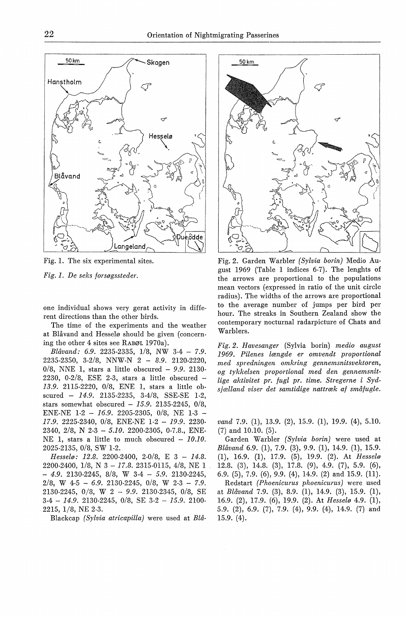

Fig. 1. The six experimental sites.

*Fig. 1. De seks forsøgssteder.* 

one individual shows very gerat activity in different directions than the other hirds.

The time of the experiments and the weather at Blåvand and Hesselø should be given (concerning the other 4 sites see RABØL 1970a).

*Blåvand: 6.9.* 2235-2335, 1/8, NW 3-4 - *7.9.*  2235-2350, 3-2/8, NNW-N 2 - *8.9.* 2120-2220, 0/8, NNE l, stars a little ohscured - *9.9.* 2130- 2230, 0-2/8, ESE 2-3, stars a little obscured - *13.9.* 2115-2220, 0/8, ENE 1, stars a little obscured - *14.9.* 2135-2235, 3-4/8, SSE-SE 1-2, stars somewhat ohscured - *15.9.* 2135-2245, 0/8, ENE-NE 1-2 - *16.9.* 2205-2305, 0/8, NE 1-3 - *17.9.* 2225-2340, 0/8, ENE-NE 1-2 - *19.9.* 2230- 2340, 2/8, N 2-3 - *5.10.* 2200-2305, 0-7.8., ENE-NE 1, stars a little to much obscured -  $10.10$ . 2025-2135, 0/8, sw 1-2.

*Hesselø: 12.8.* 2200-2400, 2-0/8, E 3 - *14.8.*  2200-2400, 1/8, N 3 - *17.8.* 2315-0115, 4/8, NE 1 - *4.9.* 2130-2245, 8/8, w 3-4 *5.9.* 2130-2245, 2/8, w 4-5 - *6.9.* 2130-2245, 0/8, w 2-3 - *7.9.*  2130-2245, 0/8, W 2 - *9.9.* 2130-2345, 0/8, SE 3-4 - *14.9.* 2130-2245, 0/8, SE 3-2 - *15.9.* 2100- 2215, 1/8, NE 2-3.

Blackcap *(Sylvia atricapilla)* were used at *Blå-*



Fig. 2. Garden Warhler *(Sylvia borin)* Medio August 1969 (Tahle 1 indices 6-7). The lenghts of the arrows are proportional to the populations mean vectors (expressed in ratio of the unit circle radius). The widths of the arrows are proportional to the average number of jumps per hird per hour. The streaks in Southern Zealand show the contemporary nocturnal radarpicture of Chats and Warhlers.

*Fig. 2. Havesanger* (Sylvia horin) *medio august 1969. Pilenes længde er omvendt proportional med spredningen omkring gennemsnitsvektoren, og tykkelsen proportional med den gennemsnit· lige aktivitet pr. fugl pr. time. Stregerne i Sydsjælland viser det samtidige nattræk af småfugle.* 

*vand* 7.9. (1), 13.9. (2), 15.9. (1), 19.9. (4), 5.10. (7) and 10.10. (5).

Garden Warhler *(Sylvia borin)* were used at *Blåvand* 6.9. (1), 7.9. (3), 9.9. (1), 14.9. (1), 15.9. (1), 16.9. (1), 17.9. (5), 19.9. (2). At *Hesselø*  12.8. (3), 14.8. (3), 17.8. (9), 4.9. (7), 5.9. (6), 6.9. (5), 7.9. (6), 9.9. (4), 14.9. (2) and 15.9. (11). Redstart *(Phoenicurus phoenicurus)* were used at *Blåvand* 7.9. (3), 8.9. (1), 14.9. (3), 15.9. (1), 16.9. (2), 17.9. (6), 19.9. (2). At *Hesselø* 4.9. (1), 5.9. (2), 6.9. (7), 7.9. (4), 9.9. (4), 14.9. (7) and 15.9. (4).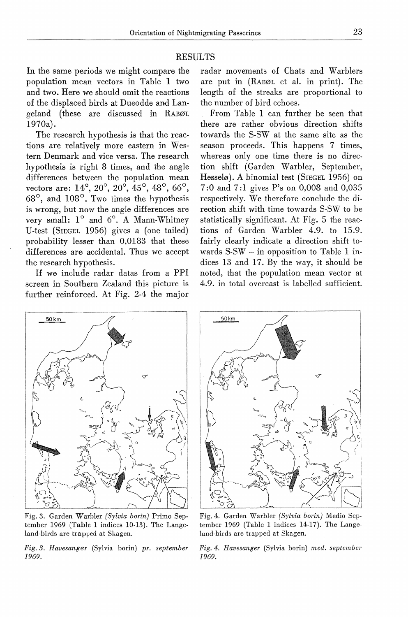### RESULTS

In the same periods we might compare the population mean vectors in Table 1 two and two. Here we should omit the reactions of the displaced hirds at Dueodde and Langeland (these are discussed in RABØL 1970a).

The research hypothesis is that the reactions are relatively more eastern in Western Denmark and vice versa. The research hypothesis is right 8 times, and the angle differences between the population mean vectors are: 14°, 20°, 20°, 45°, 48°, 66°, 68°, and 108°. Two times the hypothesis is wrong, but now the angle differences are very small: 1° and 6°. A Mann-Whitney U-test (SIEGEL 1956) gives a (one tailed) probability lesser than 0,0183 that these differences are accidental. Thus we accept the research hypothesis.

If we include radar datas from a PPI screen in Southern Zealand this picture is further reinforced. At Fig. 2-4 the major

radar movements of Chats and Warblers are put in (RABØL et al. in print). The length of the streaks are proportional to the number of hird echoes.

From Table 1 can further be seen that there are rather obvious direction shifts towards the S-SW at the same site as the season proceeds. This happens 7 times, whereas only one time there is no direction shift (Garden Warbler, September, Hesselø). A binomial test (SIEGEL 1956) on 7:0 and 7:1 gives P's on 0,008 and 0,035 respectively. We therefore conclude the direction shift with time towards S-SW to be statistically significant. At Fig. 5 the reactions of Garden Warbler 4.9. to 15.9. fairly clearly indicate a direction shift towards S-SW - in opposition to Table 1 indices 13 and 17. By the way, it should be noted, that the population mean vector at 4.9. in total overcast is labelled sufficient.



Fig. 3. Garden Warbler *(Sylvia borin)* Primo September 1969 (Table 1 indices 10-13). The Langeland-hirds are trapped at Skagen.

*Fig. 3. Havesanger* (Sylvia borin) *pr. september 1969.* 



Fig. 4. Garden Warbler *(Sylvia borin)* Medio September 1969 (Table 1 indices 14-17). The Langeland-hirds are trapped at Skagen.

*Fig. 4. Havesanger* (Sylvia borin) *med. september 1969.*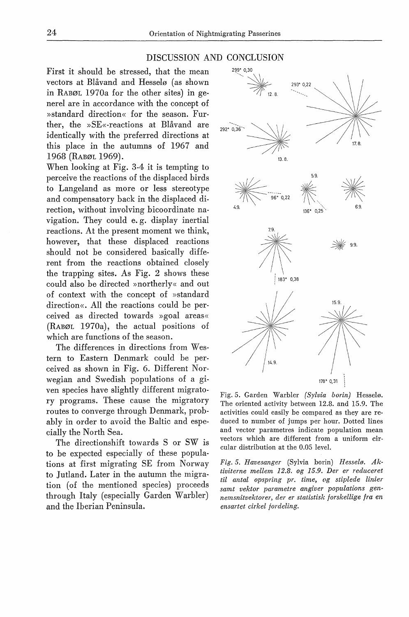# DISCUSSION AND CONCLUSION

First it should be stressed, that the mean vectors at Blåvand and Hesselø (as shown in RABØL 1970a for the other sites) in generel are in accordance with the concept of »standard direction« for the season. Further, the »SE«-reactions at Blåvand are identically with the preferred directions at this place in the autumns of 1967 and 1968 (RABØL 1969).

When looking at Fig. 3-4 it is tempting to perceive the reactions of the displaced hirds to Langeland as more or less stereotype and compensatory back in the displaced direction, without involving bicoordinate navigation. They could e. g. display inertial reactions. At the present moment we think, however, that these displaced reactions should not be considered basically different from the reactions obtained closely the trapping sites. As Fig.  $2$  shows these could also be directed »northerly« and out of context with the concept of »standard direction«. All <sup>1</sup> the reactions could be perceived as directed towards »goal areas« (RABØL 1970a), the actual positions of which are functions of the season.

The differences in directions from Western to Eastem Denmark could be perceived as shown in Fig. 6. Different Norwegian and Swedish populations of a given species have slightly different migratory programs. These cause the migratory routes to converge through Denmark, probably in order to avoid the Baltic and especially the North Sea.

The directionshift towards S or SW is to be expected especially of these populations at first migrating SE from Norway to Jutland. Later in the autumn the migration (of the mentioned species) proceeds through Italy (especially Garden Warbler) and the Iberian Peninsula.



Fig. 5. Garden Warbler *(Sylvia borin)* Hesselø. The oriented activity between 12.8. and 15.9. The activities could easily be compared as they are reduced to number of jumps per hour. Dotted lines and vector parametres indicate population mean vectors which are different from a uniform circular distribution at the 0.05 level.

*Fig. 5. Havesanger* (Sylvia borin) *Hesselø. Aktiviterne mellem 12.8. og 15.9. Der er reduceret til antal opspring pr. time, og stiplede linier samt vektor parametre angiver populations gennemsnitvektorer, der er statistisk forskellige fra en ensartet cirkel fordeling.*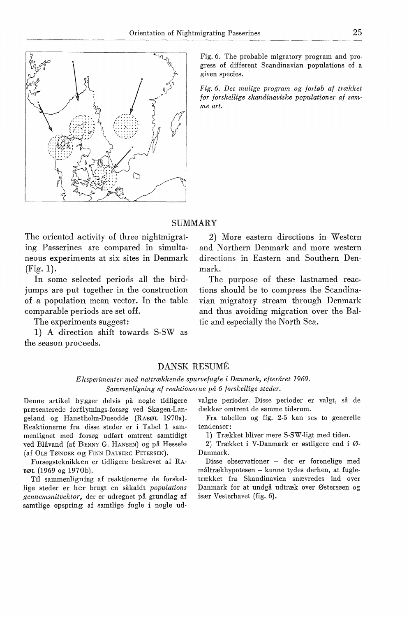

Fig. 6. The probable migratory program and progress of different Scandinavian populations of a given species.

*Fig. 6. Det mulige program og forløb af trækket for forskellige skandinaviske populationer af sam· me art.* 

### **SUMMARY**

The oriented activity of three nightmigrating Passerines are compared in simultaneous experiments at six sites in Denmark (Fig. 1).

In some selected periods all the birdjumps are put together in the construction of a population mean vector. In the table comparable periods are set off.

The experiments suggest:

1) A direction shift towards S-SW as the season proceeds.

2) More eastern directions in Western and Northern Denmark and more western directions in Eastern and Southern Denmark.

The purpose of these lastnamed reactions should be to compress the Scandinavian migratory stream through Denmark and thus avoiding migration over the Baltic and especially the North Sea.

## DANSK RESUME

## *Eksperimenter med nattrækkende spurvefugle i Danmark, efteråret 1969. Sammenligning af reaktionerne på 6 forskellige steder.*

præsenterede forflytnings-forsøg ved Skagen-Lan- dækker omtrent de samme tidsrum.<br>geland og Hanstholm-Dueodde (RABØL 1970a). Fra tabellen og fig. 2-5 kan ses to generelle geland og Hanstholm-Dueodde (RABØL 1970a). Reaktionerne fra disse steder er i Tabel 1 sam- tendenser:<br>menlignet med forsøg udført omtrent samtidigt 1) Trækket bliver mere S-SW-ligt med tiden. menlignet med forsøg udført omtrent samtidigt 1) Trækket bliver mere S-SW-ligt med tiden.<br>ved Blåvand (af BENNY G. HANSEN) og på Hesselø 2) Trækket i V-Danmark er østligere end i Øved Blåvand (af BENNY G. HANSEN) og på Hesselø

Forsøgsteknikken er tidligere beskrevet af RA-

lige steder er her brugt en såkaldt *populations gennemsnitvektor,* der er udregnet på grundlag af især Vesterhavet (fig. 6). samtlige opspring af samtlige fugle i nogle ud-

Denne artikel bygger delvis på nogle tidligere valgte perioder. Disse perioder er valgt, så de

(af OLE TØNDER OG FINN DALBERG PETERSEN). Danmark.<br>Forsøgsteknikken er tidligere beskrevet af RA- Disse observationer – der er forenelige med

BØL (1969 og 1970b).<br>Til sammenligning af reaktionerne de forskel-trækket fra Skandinavien snævredes ind over Til sammenligning af reaktionerne de forskel- trækket fra Skandinavien snævredes ind over<br>ze steder er her brugt en såkaldt *populations* Danmark for at undgå udtræk over Østersøen og